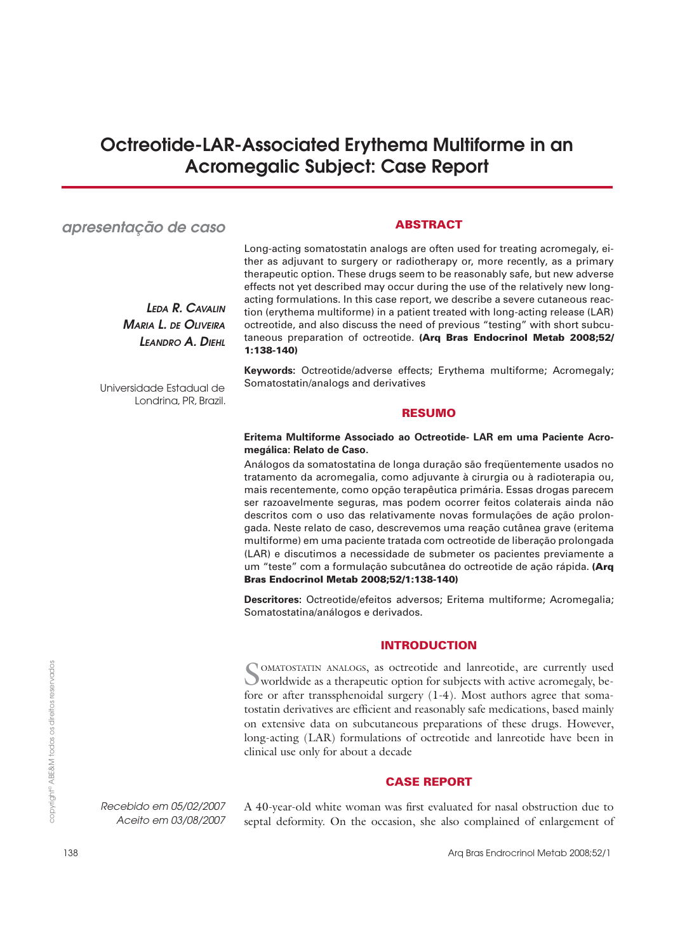# **Octreotide-LAR-Associated Erythema Multiforme in an Acromegalic Subject: Case Report**

# *apresentação de caso*

*LEDA R. CAVALIN MARIA L. DE OLIVEIRA LEANDRO A. DIEHL*

Universidade Estadual de Londrina, PR, Brazil.

# **ABSTRACT**

Long-acting somatostatin analogs are often used for treating acromegaly, either as adjuvant to surgery or radiotherapy or, more recently, as a primary therapeutic option. These drugs seem to be reasonably safe, but new adverse effects not yet described may occur during the use of the relatively new longacting formulations. In this case report, we describe a severe cutaneous reaction (erythema multiforme) in a patient treated with long-acting release (LAR) octreotide, and also discuss the need of previous "testing" with short subcutaneous preparation of octreotide. **(Arq Bras Endocrinol Metab 2008;52/ 1:138-140)**

**Keywords:** Octreotide/adverse effects; Erythema multiforme; Acromegaly; Somatostatin/analogs and derivatives

## **RESUMO**

# **Eritema Multiforme Associado ao Octreotide- LAR em uma Paciente Acromegálica: Relato de Caso.**

Análogos da somatostatina de longa duração são freqüentemente usados no tratamento da acromegalia, como adjuvante à cirurgia ou à radioterapia ou, mais recentemente, como opção terapêutica primária. Essas drogas parecem ser razoavelmente seguras, mas podem ocorrer feitos colaterais ainda não descritos com o uso das relativamente novas formulações de ação prolongada. Neste relato de caso, descrevemos uma reação cutânea grave (eritema multiforme) em uma paciente tratada com octreotide de liberação prolongada (LAR) e discutimos a necessidade de submeter os pacientes previamente a um "teste" com a formulação subcutânea do octreotide de ação rápida. **(Arq Bras Endocrinol Metab 2008;52/1:138-140)**

**Descritores:** Octreotide/efeitos adversos; Eritema multiforme; Acromegalia; Somatostatina/análogos e derivados.

# **INTRODUCTION**

SOMATOSTATIN ANALOGS, as octreotide and lanreotide, are currently used worldwide as a therapeutic option for subjects with active acromegaly, before or after transsphenoidal surgery (1-4). Most authors agree that somatostatin derivatives are efficient and reasonably safe medications, based mainly on extensive data on subcutaneous preparations of these drugs. However, long-acting (LAR) formulations of octreotide and lanreotide have been in clinical use only for about a decade

# **CASE REPORT**

A 40-year-old white woman was first evaluated for nasal obstruction due to septal deformity. On the occasion, she also complained of enlargement of

*Recebido em 05/02/2007 Aceito em 03/08/2007*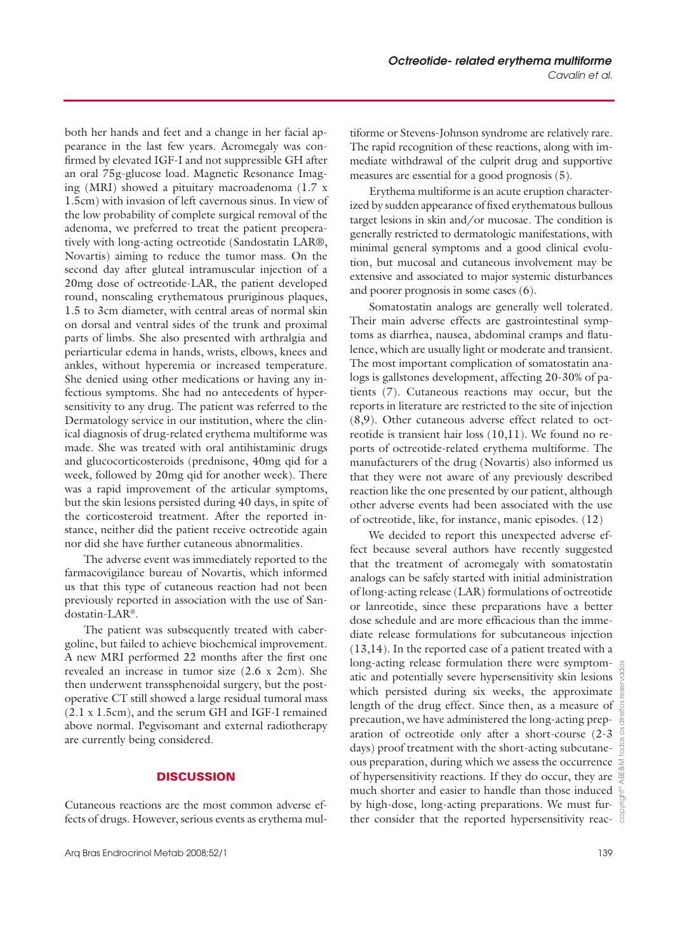both her hands and feet and a change in her facial appearance in the last few years. Acromegaly was confirmed by elevated IGF-I and not suppressible GH after an oral 75g-glucose load. Magnetic Resonance Imaging (MRI) showed a pituitary macroadenoma (1.7 x 1.5cm) with invasion of left cavernous sinus. In view of the low probability of complete surgical removal of the adenoma, we preferred to treat the patient preoperatively with long-acting octreotide (Sandostatin LAR®, Novartis) aiming to reduce the tumor mass. On the second day after gluteal intramuscular injection of a 20mg dose of octreotide-LAR, the patient developed round, nonscaling erythematous pruriginous plaques, 1.5 to 3cm diameter, with central areas of normal skin on dorsal and ventral sides of the trunk and proximal parts of limbs. She also presented with arthralgia and periarticular edema in hands, wrists, elbows, knees and ankles, without hyperemia or increased temperature. She denied using other medications or having any infectious symptoms. She had no antecedents of hypersensitivity to any drug. The patient was referred to the Dermatology service in our institution, where the clinical diagnosis of drug-related erythema multiforme was made. She was treated with oral antihistaminic drugs and glucocorticosteroids (prednisone, 40mg qid for a week, followed by 20mg qid for another week). There was a rapid improvement of the articular symptoms, but the skin lesions persisted during 40 days, in spite of the corticosteroid treatment. After the reported instance, neither did the patient receive octreotide again nor did she have further cutaneous abnormalities.

The adverse event was immediately reported to the farmacovigilance bureau of Novartis, which informed us that this type of cutaneous reaction had not been previously reported in association with the use of Sandostatin-LAR®.

The patient was subsequently treated with cabergoline, but failed to achieve biochemical improvement. A new MRI performed 22 months after the first one revealed an increase in tumor size (2.6 x 2cm). She then underwent transsphenoidal surgery, but the postoperative CT still showed a large residual tumoral mass (2.1 x 1.5cm), and the serum GH and IGF-I remained above normal. Pegvisomant and external radiotherapy are currently being considered.

# **DISCUSSION**

Cutaneous reactions are the most common adverse effects of drugs. However, serious events as erythema multiforme or Stevens-Johnson syndrome are relatively rare. The rapid recognition of these reactions, along with immediate withdrawal of the culprit drug and supportive measures are essential for a good prognosis (5).

Erythema multiforme is an acute eruption characterized by sudden appearance of fixed erythematous bullous target lesions in skin and/or mucosae. The condition is generally restricted to dermatologic manifestations, with minimal general symptoms and a good clinical evolution, but mucosal and cutaneous involvement may be extensive and associated to major systemic disturbances and poorer prognosis in some cases (6).

Somatostatin analogs are generally well tolerated. Their main adverse effects are gastrointestinal symptoms as diarrhea, nausea, abdominal cramps and flatulence, which are usually light or moderate and transient. The most important complication of somatostatin analogs is gallstones development, affecting 20-30% of patients (7). Cutaneous reactions may occur, but the reports in literature are restricted to the site of injection (8,9). Other cutaneous adverse effect related to octreotide is transient hair loss (10,11). We found no reports of octreotide-related erythema multiforme. The manufacturers of the drug (Novartis) also informed us that they were not aware of any previously described reaction like the one presented by our patient, although other adverse events had been associated with the use of octreotide, like, for instance, manic episodes. (12)

We decided to report this unexpected adverse effect because several authors have recently suggested that the treatment of acromegaly with somatostatin analogs can be safely started with initial administration of long-acting release (LAR) formulations of octreotide or lanreotide, since these preparations have a better dose schedule and are more efficacious than the immediate release formulations for subcutaneous injection (13,14). In the reported case of a patient treated with a long-acting release formulation there were symptomatic and potentially severe hypersensitivity skin lesions which persisted during six weeks, the approximate length of the drug effect. Since then, as a measure of precaution, we have administered the long-acting preparation of octreotide only after a short-course (2-3 days) proof treatment with the short-acting subcutaneous preparation, during which we assess the occurrence of hypersensitivity reactions. If they do occur, they are  $\frac{a}{\sigma}$ much shorter and easier to handle than those induced by high-dose, long-acting preparations. We must further consider that the reported hypersensitivity reac-

copyright© ABE&M todos os direitos reservados

itos  $rac{6}{5}$